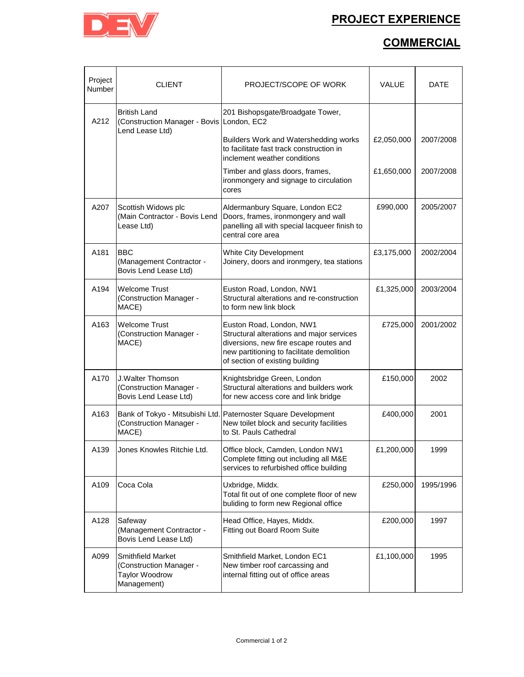## **PROJECT EXPERIENCE**



## **COMMERCIAL**

| Project<br>Number | <b>CLIENT</b>                                                                               | PROJECT/SCOPE OF WORK                                                                                                                                                                           | VALUE      | DATE      |
|-------------------|---------------------------------------------------------------------------------------------|-------------------------------------------------------------------------------------------------------------------------------------------------------------------------------------------------|------------|-----------|
| A212              | <b>British Land</b><br>(Construction Manager - Bovis London, EC2<br>Lend Lease Ltd)         | 201 Bishopsgate/Broadgate Tower,                                                                                                                                                                |            |           |
|                   |                                                                                             | Builders Work and Watershedding works<br>to facilitate fast track construction in<br>inclement weather conditions                                                                               | £2,050,000 | 2007/2008 |
|                   |                                                                                             | Timber and glass doors, frames,<br>ironmongery and signage to circulation<br>cores                                                                                                              | £1,650,000 | 2007/2008 |
| A207              | Scottish Widows plc<br>(Main Contractor - Bovis Lend<br>Lease Ltd)                          | Aldermanbury Square, London EC2<br>Doors, frames, ironmongery and wall<br>panelling all with special lacqueer finish to<br>central core area                                                    | £990,000   | 2005/2007 |
| A181              | <b>BBC</b><br>(Management Contractor -<br>Bovis Lend Lease Ltd)                             | <b>White City Development</b><br>Joinery, doors and ironmgery, tea stations                                                                                                                     | £3,175,000 | 2002/2004 |
| A194              | <b>Welcome Trust</b><br>(Construction Manager -<br>MACE)                                    | Euston Road, London, NW1<br>Structural alterations and re-construction<br>to form new link block                                                                                                | £1,325,000 | 2003/2004 |
| A163              | <b>Welcome Trust</b><br>(Construction Manager -<br>MACE)                                    | Euston Road, London, NW1<br>Structural alterations and major services<br>diversions, new fire escape routes and<br>new partitioning to facilitate demolition<br>of section of existing building | £725,000   | 2001/2002 |
| A170              | J.Walter Thomson<br>(Construction Manager -<br>Bovis Lend Lease Ltd)                        | Knightsbridge Green, London<br>Structural alterations and builders work<br>for new access core and link bridge                                                                                  | £150,000   | 2002      |
| A163              | Bank of Tokyo - Mitsubishi Ltd.<br>(Construction Manager -<br>MACE)                         | Paternoster Square Development<br>New toilet block and security facilities<br>to St. Pauls Cathedral                                                                                            | £400,000   | 2001      |
| A139              | Jones Knowles Ritchie Ltd.                                                                  | Office block, Camden, London NW1<br>Complete fitting out including all M&E<br>services to refurbished office building                                                                           | £1,200,000 | 1999      |
| A109              | Coca Cola                                                                                   | Uxbridge, Middx.<br>Total fit out of one complete floor of new<br>buliding to form new Regional office                                                                                          | £250,000   | 1995/1996 |
| A128              | Safeway<br>(Management Contractor -<br>Bovis Lend Lease Ltd)                                | Head Office, Hayes, Middx.<br>Fitting out Board Room Suite                                                                                                                                      | £200,000   | 1997      |
| A099              | <b>Smithfield Market</b><br>(Construction Manager -<br><b>Taylor Woodrow</b><br>Management) | Smithfield Market, London EC1<br>New timber roof carcassing and<br>internal fitting out of office areas                                                                                         | £1,100,000 | 1995      |